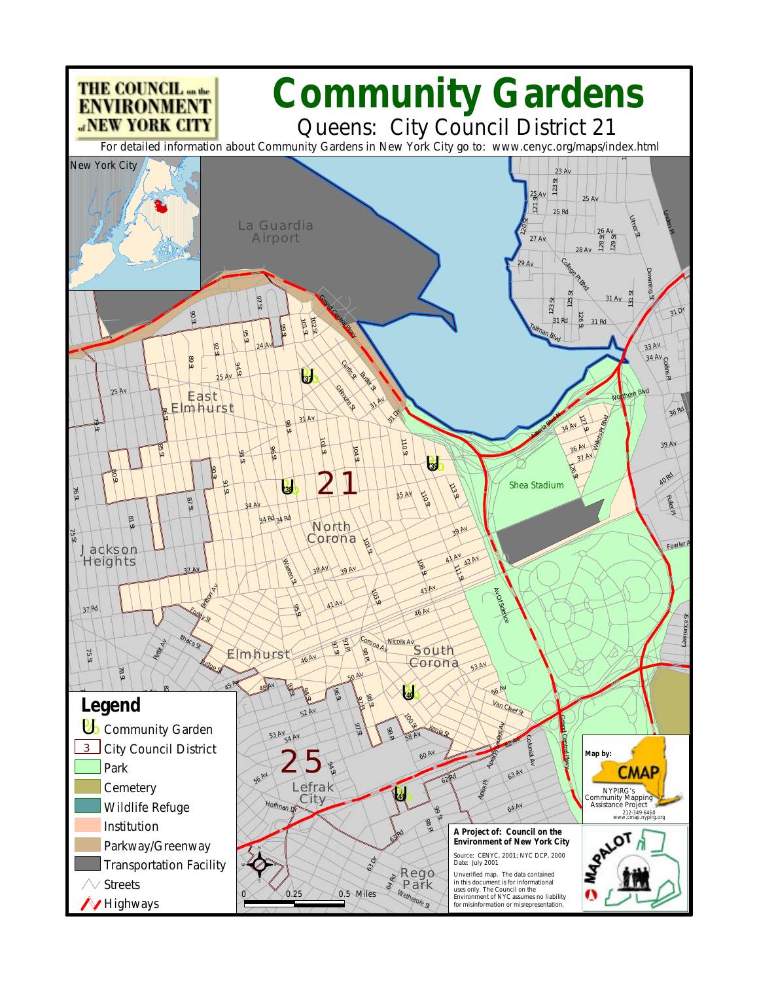